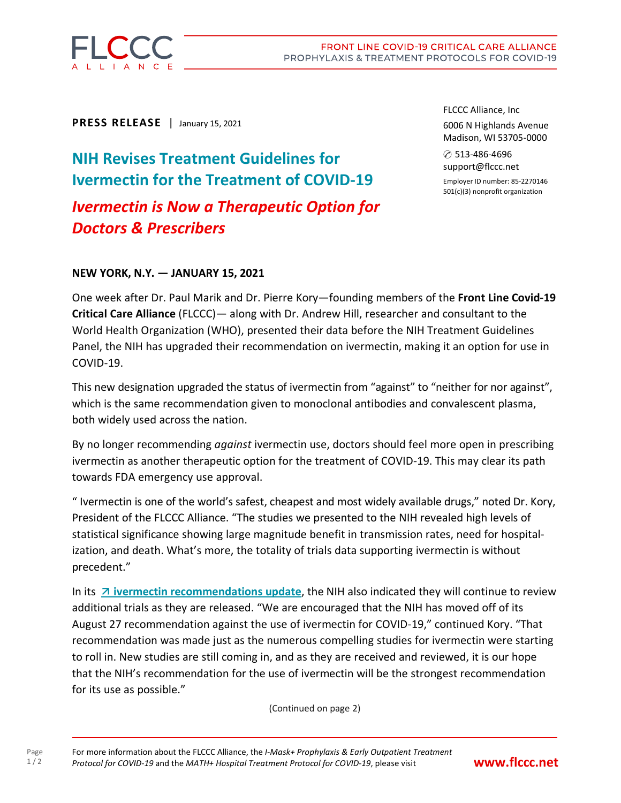

**PRESS RELEASE** | January 15, 2021

**NIH Revises Treatment Guidelines for Ivermectin for the Treatment of COVID-19** *Ivermectin is Now a Therapeutic Option for Doctors & Prescribers*

FLCCC Alliance, Inc 6006 N Highlands Avenue Madison, WI 53705-0000

✆ 513-486-4696 support@flccc.net Employer ID number: 85-2270146 501(c)(3) nonprofit organization

## **NEW YORK, N.Y. — JANUARY 15, 2021**

One week after Dr. Paul Marik and Dr. Pierre Kory—founding members of the **Front Line Covid-19 Critical Care Alliance** (FLCCC)— along with Dr. Andrew Hill, researcher and consultant to the World Health Organization (WHO), presented their data before the NIH Treatment Guidelines Panel, the NIH has upgraded their recommendation on ivermectin, making it an option for use in COVID-19.

This new designation upgraded the status of ivermectin from "against" to "neither for nor against", which is the same recommendation given to monoclonal antibodies and convalescent plasma, both widely used across the nation.

By no longer recommending *against* ivermectin use, doctors should feel more open in prescribing ivermectin as another therapeutic option for the treatment of COVID-19. This may clear its path towards FDA emergency use approval.

" Ivermectin is one of the world's safest, cheapest and most widely available drugs," noted Dr. Kory, President of the FLCCC Alliance. "The studies we presented to the NIH revealed high levels of statistical significance showing large magnitude benefit in transmission rates, need for hospitalization, and death. What's more, the totality of trials data supporting ivermectin is without precedent."

In its **ivermectin [recommendations](https://www.covid19treatmentguidelines.nih.gov/statement-on-ivermectin/) [update](https://www.covid19treatmentguidelines.nih.gov/statement-on-ivermectin/)**, the NIH also indicated they will continue to review additional trials as they are released. "We are encouraged that the NIH has moved off of its August 27 recommendation against the use of ivermectin for COVID-19," continued Kory. "That recommendation was made just as the numerous compelling studies for ivermectin were starting to roll in. New studies are still coming in, and as they are received and reviewed, it is our hope that the NIH's recommendation for the use of ivermectin will be the strongest recommendation for its use as possible."

(Continued on page 2)